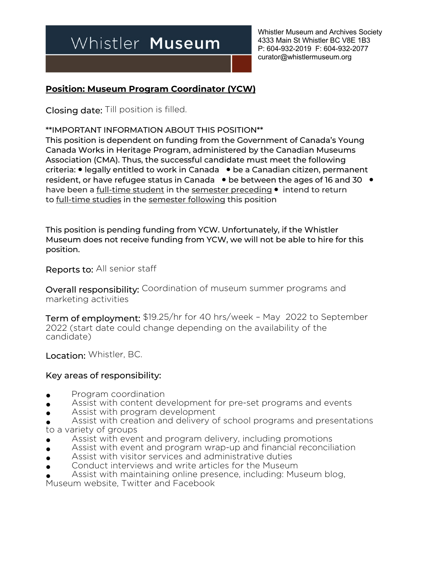# Whistler Museum

Whistler Museum and Archives Society 4333 Main St Whistler BC V8E 1B3 P: 604-932-2019 F: 604-932-2077 curator@whistlermuseum.org

### **Position: Museum Program Coordinator (YCW)**

Closing date: Till position is filled.

\*\*IMPORTANT INFORMATION ABOUT THIS POSITION\*\*

This position is dependent on funding from the Government of Canada's Young Canada Works in Heritage Program, administered by the Canadian Museums Association (CMA). Thus, the successful candidate must meet the following criteria: ● legally entitled to work in Canada ● be a Canadian citizen, permanent resident, or have refugee status in Canada ● be between the ages of 16 and 30 ● have been a <u>full-time student</u> in the semester preceding • intend to return to full-time studies in the semester following this position

This position is pending funding from YCW. Unfortunately, if the Whistler Museum does not receive funding from YCW, we will not be able to hire for this position.

Reports to: All senior staff

Overall responsibility: Coordination of museum summer programs and marketing activities

Term of employment: \$19.25/hr for 40 hrs/week – May 2022 to September 2022 (start date could change depending on the availability of the candidate)

Location: Whistler, BC.

#### Key areas of responsibility:

- **•** Program coordination
- **•** Assist with content development for pre-set programs and events
- **•** Assist with program development
- Assist with creation and delivery of school programs and presentations to a variety of groups
- Assist with event and program delivery, including promotions
- Assist with event and program wrap-up and financial reconciliation
- Assist with visitor services and administrative duties
- Conduct interviews and write articles for the Museum
- Assist with maintaining online presence, including: Museum blog,

Museum website, Twitter and Facebook